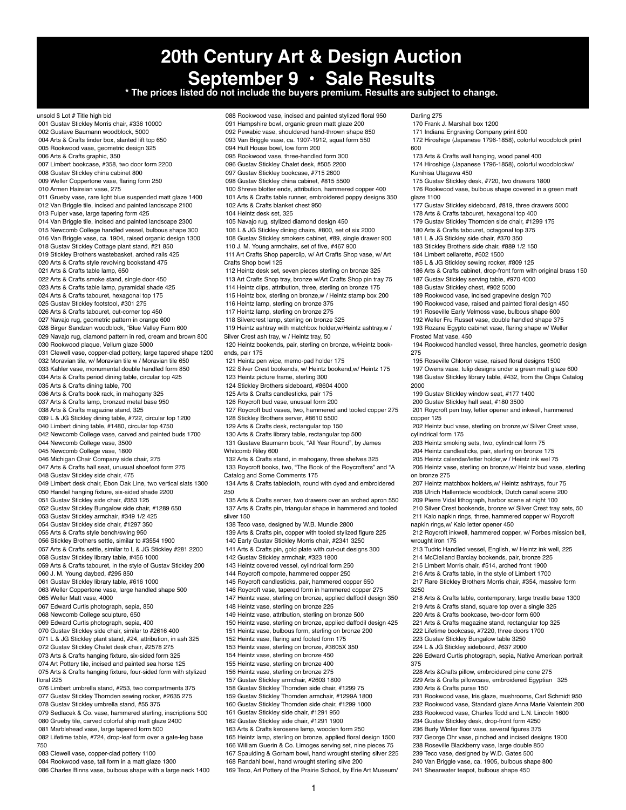**20th Century Art & Design Auction September 9 • Sale Results \* The prices listed do not include the buyers premium. Results are subject to change.** unsold \$ Lot # Title high bid 001 Gustav Stickley Morris chair, #336 10000 002 Gustave Baumann woodblock, 5000 004 Arts & Crafts tinder box, slanted lift top 650 005 Rookwood vase, geometric design 325 006 Arts & Crafts graphic, 350 007 Limbert bookcase, #358, two door form 2200 008 Gustav Stickley china cabinet 800 009 Weller Coppertone vase, flaring form 250 010 Armen Haireian vase, 275 011 Grueby vase, rare light blue suspended matt glaze 1400 012 Van Briggle tile, incised and painted landscape 2100 013 Fulper vase, large tapering form 425 014 Van Briggle tile, incised and painted landscape 2300 015 Newcomb College handled vessel, bulbous shape 300 016 Van Briggle vase, ca. 1904, raised organic design 1300 018 Gustav Stickley Cottage plant stand, #21 850 019 Stickley Brothers wastebasket, arched rails 425 020 Arts & Crafts style revolving bookstand 475 021 Arts & Crafts table lamp, 650 022 Arts & Crafts smoke stand, single door 450 023 Arts & Crafts table lamp, pyramidal shade 425 024 Arts & Crafts tabouret, hexagonal top 175 025 Gustav Stickley footstool, #301 275 026 Arts & Crafts tabouret, cut-corner top 450 027 Navajo rug, geometric pattern in orange 600 028 Birger Sandzen woodblock, "Blue Valley Farm 600 029 Navajo rug, diamond pattern in red, cream and brown 800 030 Rookwood plaque, Vellum glaze 5000 031 Clewell vase, copper-clad pottery, large tapered shape 1200 032 Moravian tile, w/ Moravian tile w / Moravian tile 650 033 Kahler vase, monumental double handled form 850 034 Arts & Crafts period dining table, circular top 425 035 Arts & Crafts dining table, 700 036 Arts & Crafts book rack, in mahogany 325 037 Arts & Crafts lamp, bronzed metal base 950 038 Arts & Crafts magazine stand, 325 039 L & JG Stickley dining table, #722, circular top 1200 040 Limbert dining table, #1480, circular top 4750 042 Newcomb College vase, carved and painted buds 1700 044 Newcomb College vase, 3500 045 Newcomb College vase, 1800 046 Michigan Chair Company side chair, 275 047 Arts & Crafts hall seat, unusual shoefoot form 275 048 Gustav Stickley side chair, 475 049 Limbert desk chair, Ebon Oak Line, two vertical slats 1300 050 Handel hanging fixture, six-sided shade 2200 051 Gustav Stickley side chair, #353 125 052 Gustav Stickley Bungalow side chair, #1289 650 053 Gustav Stickley armchair, #349 1/2 425 054 Gustav Stickley side chair, #1297 350 055 Arts & Crafts style bench/swing 950 056 Stickley Brothers settle, similar to #3554 1900 057 Arts & Crafts settle, similar to L & JG Stickley #281 2200 058 Gustav Stickley library table, #456 1000 059 Arts & Crafts tabouret, in the style of Gustav Stickley 200 060 J. M. Young daybed, #295 850 061 Gustav Stickley library table, #616 1000 063 Weller Coppertone vase, large handled shape 500 065 Weller Matt vase, 4000 067 Edward Curtis photograph, sepia, 850 068 Newcomb College sculpture, 650 069 Edward Curtis photograph, sepia, 400 070 Gustav Stickley side chair, similar to #2616 400 071 L & JG Stickley plant stand, #24, attribution, in ash 325 072 Gustav Stickley Chalet desk chair, #2578 275 073 Arts & Crafts hanging fixture, six-sided form 325 074 Art Pottery tile, incised and painted sea horse 125 075 Arts & Crafts hanging fixture, four-sided form with stylized floral 225 076 Limbert umbrella stand, #253, two compartments 375 077 Gustav Stickley Thornden sewing rocker, #2635 275 078 Gustav Stickley umbrella stand, #55 375 079 Sedlacek & Co. vase, hammered sterling, inscriptions 500 080 Grueby tile, carved colorful ship matt glaze 2400 081 Marblehead vase, large tapered form 500 082 Lifetime table, #724, drop-leaf form over a gate-leg base 750 088 Rookwood vase, incised and painted stylized floral 950 091 Hampshire bowl, organic green matt glaze 200 092 Pewabic vase, shouldered hand-thrown shape 850 093 Van Briggle vase, ca. 1907-1912, squat form 550 094 Hull House bowl, low form 200 095 Rookwood vase, three-handled form 300 096 Gustav Stickley Chalet desk, #505 2200 097 Gustav Stickley bookcase, #715 2600 098 Gustav Stickley china cabinet, #815 5500 100 Shreve blotter ends, attribution, hammered copper 400 101 Arts & Crafts table runner, embroidered poppy designs 350 102 Arts & Crafts blanket chest 950 104 Heintz desk set, 325 105 Navajo rug, stylized diamond design 450 106 L & JG Stickley dining chairs, #800, set of six 2000 108 Gustav Stickley smokers cabinet, #89, single drawer 900 110 J. M. Young armchairs, set of five, #467 900 111 Art Crafts Shop paperclip, w/ Art Crafts Shop vase, w/ Art Crafts Shop bowl 125 112 Heintz desk set, seven pieces sterling on bronze 325 113 Art Crafts Shop tray, bronze w/Art Crafts Shop pin tray 75 114 Heintz clips, attribution, three, sterling on bronze 175 115 Heintz box, sterling on bronze,w / Heintz stamp box 200 116 Heintz lamp, sterling on bronze 375 117 Heintz lamp, sterling on bronze 275 118 Silvercrest lamp, sterling on bronze 325 119 Heintz ashtray with matchbox holder,w/Heintz ashtray,w / Silver Crest ash tray, w / Heintz tray, 50 120 Heintz bookends, pair, sterling on bronze, w/Heintz bookends, pair 175 121 Heintz pen wipe, memo-pad holder 175 122 Silver Crest bookends, w/ Heintz bookend,w/ Heintz 175 123 Heintz picture frame, sterling 300 124 Stickley Brothers sideboard, #8604 4000 125 Arts & Crafts candlesticks, pair 175 126 Roycroft bud vase, unusual form 200 127 Roycroft bud vases, two, hammered and tooled copper 275 128 Stickley Brothers server, #8610 5500 129 Arts & Crafts desk, rectangular top 150 130 Arts & Crafts library table, rectangular top 500 131 Gustave Baumann book, "All Year Round", by James Whitcomb Riley 600 132 Arts & Crafts stand, in mahogany, three shelves 325 133 Roycroft books, two, "The Book of the Roycrofters" and "A Catalog and Some Comments 175 134 Arts & Crafts tablecloth, round with dyed and embroidered 250 135 Arts & Crafts server, two drawers over an arched apron 550 137 Arts & Crafts pin, triangular shape in hammered and tooled silver 150 138 Teco vase, designed by W.B. Mundie 2800 139 Arts & Crafts pin, copper with tooled stylized figure 225 140 Early Gustav Stickley Morris chair, #2341 3250 141 Arts & Crafts pin, gold plate with cut-out designs 300 142 Gustav Stickley armchair, #323 1800 143 Heintz covered vessel, cylindrical form 250 144 Roycroft compote, hammered copper 250 145 Roycroft candlesticks, pair, hammered copper 650 146 Roycroft vase, tapered form in hammered copper 275 147 Heintz vase, sterling on bronze, applied daffodil design 350 148 Heintz vase, sterling on bronze 225 149 Heintz vase, attribution, sterling on bronze 500 150 Heintz vase, sterling on bronze, applied daffodil design 425 151 Heintz vase, bulbous form, sterling on bronze 200 152 Heintz vase, flaring and footed form 175 153 Heintz vase, sterling on bronze, #3605X 350 154 Heintz vase, sterling on bronze 450 155 Heintz vase, sterling on bronze 400 156 Heintz vase, sterling on bronze 275 157 Gustav Stickley armchair, #2603 1800 158 Gustav Stickley Thornden side chair, #1299 75 159 Gustav Stickley Thornden armchair, #1299A 1800 160 Gustav Stickley Thornden side chair, #1299 1000 161 Gustav Stickley side chair, #1291 950 162 Gustav Stickley side chair, #1291 1900 163 Arts & Crafts kerosene lamp, wooden form 250 165 Heintz lamp, sterling on bronze, applied floral design 1500 166 William Guerin & Co. Limoges serving set, nine pieces 75 Darling 275 170 Frank J. Marshall box 1200 171 Indiana Engraving Company print 600 172 Hiroshige (Japanese 1796-1858), colorful woodblock print 600 173 Arts & Crafts wall hanging, wood panel 400 174 Hiroshige (Japanese 1796-1858), colorful woodblockw/ Kunihisa Utagawa 450 175 Gustav Stickley desk, #720, two drawers 1800 176 Rookwood vase, bulbous shape covered in a green matt glaze 1100 177 Gustav Stickley sideboard, #819, three drawers 5000 178 Arts & Crafts tabouret, hexagonal top 400 179 Gustav Stickley Thornden side chair, #1299 175 180 Arts & Crafts tabouret, octagonal top 375 181 L & JG Stickley side chair, #370 350 183 Stickley Brothers side chair, #889 1/2 150 184 Limbert cellarette, #602 1500 185 L & JG Stickley sewing rocker, #809 125 186 Arts & Crafts cabinet, drop-front form with original brass 150 187 Gustav Stickley serving table, #970 4000 188 Gustav Stickley chest, #902 5000 189 Rookwood vase, incised grapevine design 700 190 Rookwood vase, raised and painted floral design 450 191 Roseville Early Velmoss vase, bulbous shape 600 192 Weller Fru Russet vase, double handled shape 375 193 Rozane Egypto cabinet vase, flaring shape w/ Weller Frosted Mat vase, 450 194 Rookwood handled vessel, three handles, geometric design 275 195 Roseville Chloron vase, raised floral designs 1500 197 Owens vase, tulip designs under a green matt glaze 600 198 Gustav Stickley library table, #432, from the Chips Catalog 2000 199 Gustav Stickley window seat, #177 1400 200 Gustav Stickley hall seat, #180 3500 201 Roycroft pen tray, letter opener and inkwell, hammered copper 125 202 Heintz bud vase, sterling on bronze,w/ Silver Crest vase, cylindrical form 175 203 Heintz smoking sets, two, cylindrical form 75 204 Heintz candlesticks, pair, sterling on bronze 175 205 Heintz calendar/letter holder,w / Heintz ink wel 75 206 Heintz vase, sterling on bronze,w/ Heintz bud vase, sterling on bronze 275 207 Heintz matchbox holders,w/ Heintz ashtrays, four 75 208 Ulrich Hallentede woodblock, Dutch canal scene 200 209 Pierre Vidal lithograph, harbor scene at night 100 210 Silver Crest bookends, bronze w/ Silver Crest tray sets, 50 211 Kalo napkin rings, three, hammered copper w/ Roycroft napkin rings,w/ Kalo letter opener 450 212 Roycroft inkwell, hammered copper, w/ Forbes mission bell, wrought iron 175 213 Tudric Handled vessel, English, w/ Heintz ink well, 225 214 McClelland Barclay bookends, pair, bronze 225 215 Limbert Morris chair, #514, arched front 1900 216 Arts & Crafts table, in the style of Limbert 1700 217 Rare Stickley Brothers Morris chair, #354, massive form 3250 218 Arts & Crafts table, contemporary, large trestle base 1300 219 Arts & Crafts stand, square top over a single 325 220 Arts & Crafts bookcase, two-door form 600 221 Arts & Crafts magazine stand, rectangular top 325 222 Lifetime bookcase, #7220, three doors 1700 223 Gustav Stickley Bungalow table 3250 224 L & JG Stickley sideboard, #637 2000 226 Edward Curtis photograph, sepia, Native American portrait 375 228 Arts &Crafts pillow, embroidered pine cone 275 229 Arts & Crafts pillowcase, embroidered Egyptian 325 230 Arts & Crafts purse 150 231 Rookwood vase, Iris glaze, mushrooms, Carl Schmidt 950 232 Rookwood vase, Standard glaze Anna Marie Valentein 200 233 Rookwood vase, Charles Todd and L.N. Lincoln 1600 234 Gustav Stickley desk, drop-front form 4250 236 Burly Winter floor vase, several figures 375 237 George Ohr vase, pinched and incised designs 1900 238 Roseville Blackberry vase, large double 850 239 Teco vase, designed by W.D. Gates 500

083 Clewell vase, copper-clad pottery 1100

- 084 Rookwood vase, tall form in a matt glaze 1300
- 086 Charles Binns vase, bulbous shape with a large neck 1400

 $\mathbf{1}$ 

167 Spaulding & Gorham bowl, hand wrought sterling silver 225

168 Randahl bowl, hand wrought sterling silve 200 169 Teco, Art Pottery of the Prairie School, by Erie Art Museum/ 240 Van Briggle vase, ca. 1905, bulbous shape 800 241 Shearwater teapot, bulbous shape 450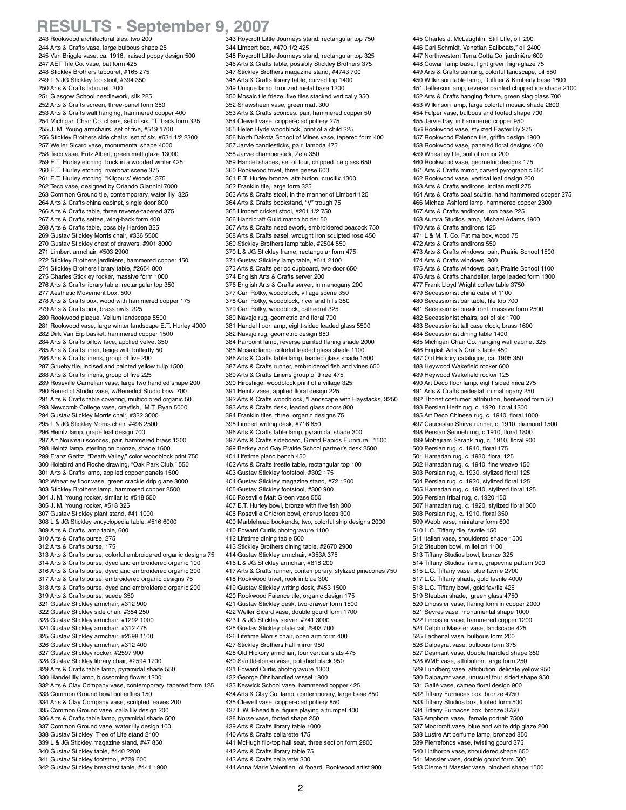## **RESULTS - September 9, 2007**

 243 Rookwood architectural tiles, two 200 244 Arts & Crafts vase, large bulbous shape 25 245 Van Briggle vase, ca. 1916, raised poppy design 500 247 AET Tile Co. vase, bat form 425 248 Stickley Brothers tabouret, #165 275 249 L & JG Stickley footstool, #394 350 250 Arts & Crafts tabouret 200 251 Glasgow School needlework, silk 225 252 Arts & Crafts screen, three-panel form 350 253 Arts & Crafts wall hanging, hammered copper 400 254 Michigan Chair Co. chairs, set of six, "T" back form 325 255 J. M. Young armchairs, set of five, #519 1700 256 Stickley Brothers side chairs, set of six, #634 1/2 2300 257 Weller Sicard vase, monumental shape 4000 258 Teco vase, Fritz Albert, green matt glaze 13000 259 E.T. Hurley etching, buck in a wooded winter 425 260 E.T. Hurley etching, riverboat scene 375 261 E.T. Hurley etching, "Kilgours' Woods" 375 262 Teco vase, designed by Orlando Giannini 7000 263 Common Ground tile, contemporary, water lily 325 264 Arts & Crafts china cabinet, single door 800 266 Arts & Crafts table, three reverse-tapered 375 267 Arts & Crafts settee, wing-back form 400 268 Arts & Crafts table, possibly Harden 325 269 Gustav Stickley Morris chair, #336 5500 270 Gustav Stickley chest of drawers, #901 8000 271 Limbert armchair, #503 2900 272 Stickley Brothers jardiniere, hammered copper 450 274 Stickley Brothers library table, #2654 800 275 Charles Stickley rocker, massive form 1000 276 Arts & Crafts library table, rectangular top 350 277 Aesthetic Movement box, 500 278 Arts & Crafts box, wood with hammered copper 175 279 Arts & Crafts box, brass owls 325 280 Rookwood plaque, Vellum landscape 5500 281 Rookwood vase, large winter landscape E.T. Hurley 4000 282 Dirk Van Erp basket, hammered copper 1500 284 Arts & Crafts pillow face, applied velvet 350 285 Arts & Crafts linen, beige with butterfly 50 286 Arts & Crafts linens, group of five 200 287 Grueby tile, incised and painted yellow tulip 1500 288 Arts & Crafts linens, group of five 225 289 Roseville Carnelian vase, large two handled shape 200 290 Benedict Studio vase, w/Benedict Studio bowl 700 291 Arts & Crafts table covering, multicolored organic 50 293 Newcomb College vase, crayfish, M.T. Ryan 5000 294 Gustav Stickley Morris chair, #332 3000 295 L & JG Stickley Morris chair, #498 2500 296 Heintz lamp, grape leaf design 700 297 Art Nouveau sconces, pair, hammered brass 1300 298 Heintz lamp, sterling on bronze, shade 1600 299 Franz Geritz, "Death Valley," color woodblock print 750 300 Holabird and Roche drawing, "Oak Park Club," 550 301 Arts & Crafts lamp, applied copper panels 1500 302 Wheatley floor vase, green crackle drip glaze 3000 303 Stickley Brothers lamp, hammered copper 2500 304 J. M. Young rocker, similar to #518 550 305 J. M. Young rocker, #518 325 307 Gustav Stickley plant stand, #41 1000 308 L & JG Stickley encyclopedia table, #516 6000 309 Arts & Crafts lamp table, 600 310 Arts & Crafts purse, 275 312 Arts & Crafts purse, 175 313 Arts & Crafts purse, colorful embroidered organic designs 75 314 Arts & Crafts purse, dyed and embroidered organic 100 316 Arts & Crafts purse, dyed and embroidered organic 300 317 Arts & Crafts purse, embroidered organic designs 75 318 Arts & Crafts purse, dyed and embroidered organic 200 319 Arts & Crafts purse, suede 350 321 Gustav Stickley armchair, #312 900 322 Gustav Stickley side chair, #354 250 323 Gustav Stickley armchair, #1292 1000 324 Gustav Stickley armchair, #312 475 325 Gustav Stickley armchair, #2598 1100 326 Gustav Stickley armchair, #312 400 327 Gustav Stickley rocker, #2597 900 328 Gustav Stickley library chair, #2594 1700 329 Arts & Crafts table lamp, pyramidal shade 550 330 Handel lily lamp, blossoming flower 1200 332 Arts & Clay Company vase, contemporary, tapered form 125 333 Common Ground bowl butterflies 150 334 Arts & Clay Company vase, sculpted leaves 200 335 Common Ground vase, calla lily design 200 336 Arts & Crafts table lamp, pyramidal shade 500 337 Common Ground vase, water lily design 100 338 Gustav Stickley Tree of Life stand 2400 339 L & JG Stickley magazine stand, #47 850 340 Gustav Stickley table, #440 2200 341 Gustav Stickley footstool, #729 600

342 Gustav Stickley breakfast table, #441 1900

 343 Roycroft Little Journeys stand, rectangular top 750 344 Limbert bed, #470 1/2 425 345 Roycroft Little Journeys stand, rectangular top 325 346 Arts & Crafts table, possibly Stickley Brothers 375 347 Stickley Brothers magazine stand, #4743 700 348 Arts & Crafts library table, curved top 1400 349 Unique lamp, bronzed metal base 1200 350 Mosaic tile frieze, five tiles stacked vertically 350 352 Shawsheen vase, green matt 300 353 Arts & Crafts sconces, pair, hammered copper 50 354 Clewell vase, copper-clad pottery 275 355 Helen Hyde woodblock, print of a child 225 356 North Dakota School of Mines vase, tapered form 400 357 Jarvie candlesticks, pair, lambda 475 358 Jarvie chamberstick, Zeta 350 359 Handel shades, set of four, chipped ice glass 650 360 Rookwood trivet, three geese 600 361 E.T. Hurley bronze, attribution, crucifix 1300 362 Franklin tile, large form 325 363 Arts & Crafts stool, in the manner of Limbert 125 364 Arts & Crafts bookstand, "V" trough 75 365 Limbert cricket stool, #201 1/2 750 366 Handicraft Guild match holder 50 367 Arts & Crafts needlework, embroidered peacock 750 368 Arts & Crafts easel, wrought iron sculpted rose 450 369 Stickley Brothers lamp table, #2504 550 370 L & JG Stickley frame, rectangular form 475 371 Gustav Stickley lamp table, #611 2100 373 Arts & Crafts period cupboard, two door 650 374 English Arts & Crafts server 200 376 English Arts & Crafts server, in mahogany 200 377 Carl Rotky, woodblock, village scene 350 378 Carl Rotky, woodblock, river and hills 350 379 Carl Rotky, woodblock, cathedral 325 380 Navajo rug, geometric and floral 700 381 Handel floor lamp, eight-sided leaded glass 5500 382 Navajo rug, geometric design 850 384 Pairpoint lamp, reverse painted flaring shade 2000 385 Mosaic lamp, colorful leaded glass shade 1100 386 Arts & Crafts table lamp, leaded glass shade 1500 387 Arts & Crafts runner, embroidered fish and vines 650 389 Arts & Crafts Linens group of three 475 390 Hiroshige, woodblock print of a village 325 391 Heintz vase, applied floral design 225 392 Arts & Crafts woodblock, "Landscape with Haystacks, 3250 393 Arts & Crafts desk, leaded glass doors 800 394 Franklin tiles, three, organic designs 75 395 Limbert writing desk, #716 650 396 Arts & Crafts table lamp, pyramidal shade 300 397 Arts & Crafts sideboard, Grand Rapids Furniture 1500 399 Berkey and Gay Prairie School partner's desk 2500 401 Lifetime piano bench 450 402 Arts & Crafts trestle table, rectangular top 100 403 Gustav Stickley footstool, #302 175 404 Gustav Stickley magazine stand, #72 1200 405 Gustav Stickley footstool, #300 900 406 Roseville Matt Green vase 550 407 E.T. Hurley bowl, bronze with five fish 300 408 Roseville Chloron bowl, cherub faces 300 409 Marblehead bookends, two, colorful ship designs 2000 410 Edward Curtis photogravure 1100 412 Lifetime dining table 500 413 Stickley Brothers dining table, #2670 2900 414 Gustav Stickley armchair, #353A 375 416 L & JG Stickley armchair, #818 200 417 Arts & Crafts runner, contemporary, stylized pinecones 750 418 Rookwood trivet, rook in blue 300 419 Gustav Stickley writing desk, #453 1500 420 Rookwood Faience tile, organic design 175 421 Gustav Stickley desk, two-drawer form 1500 422 Weller Sicard vase, double gourd form 1700 423 L & JG Stickley server, #741 3000 425 Gustav Stickley plate rail, #903 700 426 Lifetime Morris chair, open arm form 400 427 Stickley Brothers hall mirror 950 428 Old Hickory armchair, four vertical slats 475 430 San Ildefonso vase, polished black 950 431 Edward Curtis photogravure 1300 432 George Ohr handled vessel 1800 433 Keswick School vase, hammered copper 425 434 Arts & Clay Co. lamp, contemporary, large base 850 435 Clewell vase, copper-clad pottery 850 437 L.W. Rhead tile, figure playing a trumpet 400 438 Norse vase, footed shape 250 439 Arts & Crafts library table 1000 440 Arts & Crafts cellarette 475 441 McHugh flip-top hall seat, three section form 2800 442 Arts & Crafts library table 75

 445 Charles J. McLaughlin, Still LIfe, oil 200 446 Carl Schmidt, Venetian Sailboats," oil 2400 447 Northwestern Terra Cotta Co. jardinière 600 448 Cowan lamp base, light green high-glaze 75 449 Arts & Crafts painting, colorful landscape, oil 550 450 Wilkinson table lamp, Duffner & Kimberly base 1800 451 Jefferson lamp, reverse painted chipped ice shade 2100 452 Arts & Crafts hanging fixture, green slag glass 700 453 Wilkinson lamp, large colorful mosaic shade 2800 454 Fulper vase, bulbous and footed shape 700 455 Jarvie tray, in hammered copper 950 456 Rookwood vase, stylized Easter lily 275 457 Rookwood Faience tile, griffin design 1900 458 Rookwood vase, paneled floral designs 400 459 Wheatley tile, suit of armor 200 460 Rookwood vase, geometric designs 175 461 Arts & Crafts mirror, carved pyrographic 650 462 Rookwood vase, vertical leaf design 200 463 Arts & Crafts andirons, Indian motif 275 464 Arts & Crafts coal scuttle, hand hammered copper 275 466 Michael Ashford lamp, hammered copper 2300 467 Arts & Crafts andirons, iron base 225 468 Aurora Studios lamp, Michael Adams 1900 470 Arts & Crafts andirons 125 471 L & M. T. Co. Fatima box, wood 75 472 Arts & Crafts andirons 550 473 Arts & Crafts windows, pair, Prairie School 1500 474 Arts & Crafts windows 800 475 Arts & Crafts windows, pair, Prairie School 1100 476 Arts & Crafts chandelier, large leaded form 1300 477 Frank Lloyd Wright coffee table 3750 479 Secessionist china cabinet 1100 480 Secessionist bar table, tile top 700 481 Secessionist breakfront, massive form 2500 482 Secessionist chairs, set of six 1700 483 Secessionist tall case clock, brass 1600 484 Secessionist dining table 1400 485 Michigan Chair Co. hanging wall cabinet 325 486 English Arts & Crafts table 450 487 Old Hickory catalogue, ca. 1905 350 488 Heywood Wakefield rocker 600 489 Heywood Wakefield rocker 125 490 Art Deco floor lamp, eight sided mica 275 491 Arts & Crafts pedestal, in mahogany 250 492 Thonet costumer, attribution, bentwood form 50 493 Persian Heriz rug, c. 1920, floral 1200 495 Art Deco Chinese rug, c. 1940, floral 1000 497 Caucasian Shirva runner, c. 1910, diamond 1500 498 Persian Senneh rug, c.1910, floral 1800 499 Mohajram Sarank rug, c. 1910, floral 900 500 Persian rug, c. 1940, floral 175 501 Hamadan rug, c. 1930, floral 125 502 Hamadan rug, c. 1940, fine weave 150 503 Persian rug, c. 1930, stylized floral 125 504 Persian rug, c. 1920, stylized floral 125 505 Hamadan rug, c. 1940, stylized floral 125 506 Persian tribal rug, c. 1920 150 507 Hamadan rug, c. 1920, stylized floral 300 508 Persian rug, c. 1910, floral 350 509 Webb vase, miniature form 600 510 L.C. Tiffany tile, favrile 150 511 Italian vase, shouldered shape 1500 512 Steuben bowl, millefiori 1100 513 Tiffany Studios bowl, bronze 325 514 Tiffany Studios frame, grapevine pattern 900 515 L.C. Tiffany vase, blue favrile 2700 517 L.C. Tiffany shade, gold favrile 4000 518 L.C. Tiffany bowl, gold favrile 425 519 Steuben shade, green glass 4750 520 Linossier vase, flaring form in copper 2000 521 Sevres vase, monumental shape 1000 522 Linossier vase, hammered copper 1200 524 Delphin Massier vase, landscape 425 525 Lachenal vase, bulbous form 200 526 Dalpayrat vase, bulbous form 375 527 Desmant vase, double handled shape 350 528 WMF vase, attribution, large form 250 529 Lundberg vase, attribution, delicate yellow 950 530 Dalpayrat vase, unusual four sided shape 950 531 Gallé vase, cameo floral design 900 532 Tiffany Furnaces box, bronze 4750 533 Tiffany Studios box, footed form 500 534 Tiffany Furnaces box, bronze 3750 535 Amphora vase, female portrait 7500 537 Moorcroft vase, blue and white drip glaze 200 538 Lustre Art perfume lamp, bronzed 850 539 Pierrefonds vase, twisting gourd 375 540 Linthorpe vase, shouldered shape 650

 541 Massier vase, double gourd form 500 543 Clement Massier vase, pinched shape 1500

444 Anna Marie Valentien, oil/board, Rookwood artist 900

443 Arts & Crafts cellarette 300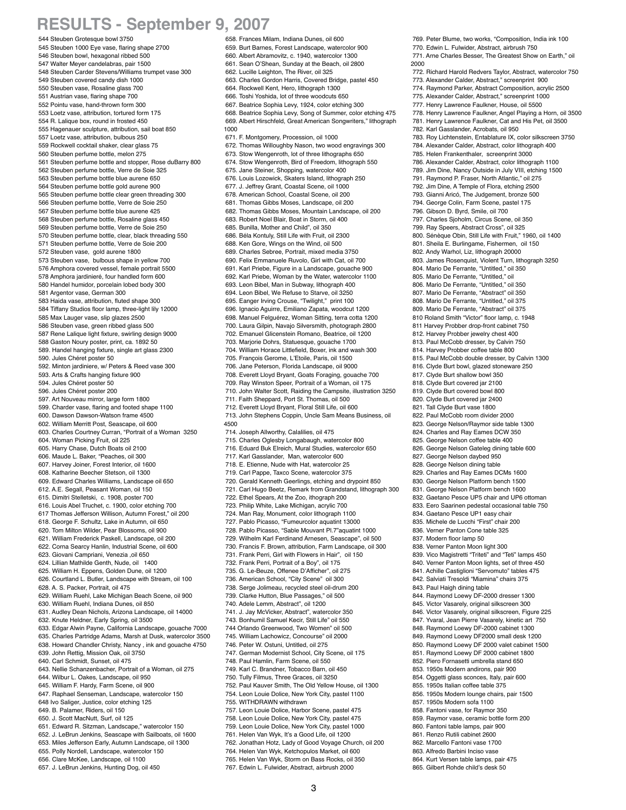## **RESULTS - September 9, 2007**

 544 Steuben Grotesque bowl 3750 545 Steuben 1000 Eye vase, flaring shape 2700 546 Steuben bowl, hexagonal ribbed 500 547 Walter Meyer candelabras, pair 1500 548 Steuben Carder Stevens/Williams trumpet vase 300 549 Steuben covered candy dish 1000 550 Steuben vase, Rosaline glass 700 551 Austrian vase, flaring shape 700 552 Pointu vase, hand-thrown form 300 553 Loetz vase, attribution, tortured form 175 554 R. Lalique box, round in frosted 450 555 Hagenauer sculpture, attribution, sail boat 850 557 Loetz vase, attribution, bulbous 250 559 Rockwell cocktail shaker, clear glass 75 560 Steuben perfume bottle, melon 275 561 Steuben perfume bottle and stopper, Rose duBarry 800 562 Steuben perfume bottle, Verre de Soie 325 563 Steuben perfume bottle blue aurene 650 564 Steuben perfume bottle gold aurene 900 565 Steuben perfume bottle clear green threading 300 566 Steuben perfume bottle, Verre de Soie 250 567 Steuben perfume bottle blue aurene 425 568 Steuben perfume bottle, Rosaline glass 450 569 Steuben perfume bottle, Verre de Soie 250 570 Steuben perfume bottle, clear, black threading 550 571 Steuben perfume bottle, Verre de Soie 200 572 Steuben vase, gold aurene 1800 573 Steuben vase, bulbous shape in yellow 700 576 Amphora covered vessel, female portrait 5500 578 Amphora jardinieré, four handled form 600 580 Handel humidor, porcelain lobed body 300 581 Argentor vase, German 300 583 Haida vase, attribution, fluted shape 300 584 Tiffany Studios floor lamp, three-light lily 12000 585 Max Lauger vase, slip glazes 2500 586 Steuben vase, green ribbed glass 500 587 Rene Lalique light fixture, swirling design 9000 588 Gaston Noury poster, print, ca. 1892 50 589. Handel hanging fixture, single art glass 2300 590. Jules Chéret poster 50 592. Minton jardiniere, w/ Peters & Reed vase 300 593. Arts & Crafts hanging fixture 900 594. Jules Chéret poster 50 596. Jules Chéret poster 200 597. Art Nouveau mirror, large form 1800 599. Charder vase, flaring and footed shape 1100 600. Dawson Dawson-Watson frame 4500 602. William Merritt Post, Seascape, oil 600 603. Charles Courtney Curran, "Portrait of a Woman 3250 604. Woman Picking Fruit, oil 225 605. Harry Chase, Dutch Boats oil 2100 606. Maude L. Baker, "Peaches, oil 300 607. Harvey Joiner, Forest Interior, oil 1600 608. Katharine Beecher Stetson, oil 1300 609. Edward Charles Williams, Landscape oil 650 612. A.E. Segall, Peasant Woman, oil 150 615. Dimitri Stelletski, c. 1908, poster 700 616. Louis Abel Truchet, c. 1900, color etching 700 617 Thomas Jefferson Willison, Autumn Forest," oil 200 618. George F. Schultz, Lake in Autumn, oil 650 620. Tom Milton Wilder, Pear Blossoms, oil 900 621. William Frederick Paskell, Landscape, oil 200 622. Corna Searcy Hanlin, Industrial Scene, oil 600 623. Giovani Campriani, Venezia ,oil 650 624. Lillian Mathilde Genth, Nude, oil 1400 625. William H. Eppens, Golden Dune, oil 1200 626. Courtland L. Butler, Landscape with Stream, oil 100 628. A. S. Packer, Portrait, oil 475 629. William Ruehl, Lake Michigan Beach Scene, oil 900 630. William Ruehl, Indiana Dunes, oil 850 631. Audley Dean Nichols, Arizona Landscape, oil 14000 632. Knute Heldner, Early Spring, oil 3500 633. Edgar Alwin Payne, California Landscape, gouache 7000 635. Charles Partridge Adams, Marsh at Dusk, watercolor 3500 638. Howard Chandler Christy, Nancy , ink and gouache 4750 639. John Rettig, Mission Oak, oil 3750 640. Carl Schmidt, Sunset, oil 475 643. Nellie Schanzenbacher, Portrait of a Woman, oil 275 644. Wilbur L. Oakes, Landscape, oil 950 645. William F. Hardy, Farm Scene, oil 900 647. Raphael Senseman, Landscape, watercolor 150 648 Ivo Saliger, Justice, color etching 125 649. B. Palamer, Riders, oil 150 650. J. Scott MacNutt, Surf, oil 125 651. Edward R. Sitzman, Landscape," watercolor 150 652. J. LeBrun Jenkins, Seascape with Sailboats, oil 1600 653. Miles Jefferson Early, Autumn Landscape, oil 1300 655. Polly Nordell, Landscape, watercolor 150

656. Clare McKee, Landscape, oil 1100

657. J. LeBrun Jenkins, Hunting Dog, oil 450

 658. Frances Milam, Indiana Dunes, oil 600 659. Burt Barnes, Forest Landscape, watercolor 900 660. Albert Abramovitz, c. 1940, watercolor 1300 661. Sean O'Shean, Sunday at the Beach, oil 2800 662. Lucille Leighton, The River, oil 325 663. Charles Gordon Harris, Covered Bridge, pastel 450 664. Rockwell Kent, Hero, lithograph 1300 666. Toshi Yoshida, lot of three woodcuts 650 667. Beatrice Sophia Levy, 1924, color etching 300 668. Beatrice Sophia Levy, Song of Summer, color etching 475 669. Albert Hirschfeld, Great American Songwriters," lithograph 1000 671. F. Montgomery, Procession, oil 1000 672. Thomas Willoughby Nason, two wood engravings 300 673. Stow Wengenroth, lot of three lithographs 650 674. Stow Wengenroth, Bird of Freedom, lithograph 550 675. Jane Steiner, Shopping, watercolor 400 676. Louis Lozowick, Skaters Island, lithograph 250 677. J. Jeffrey Grant, Coastal Scene, oil 1000 678. American School, Coastal Scene, oil 200 681. Thomas Gibbs Moses, Landscape, oil 200 682. Thomas Gibbs Moses, Mountain Landscape, oil 200 683. Robert Noel Blair, Boat in Storm, oil 400 685. Bunilla, Mother and Child", oil 350 686. Béla Kontuly, Still Life with Fruit, oil 2300 688. Ken Gore, Wings on the Wind, oil 500 689. Charles Sebree, Portrait, mixed media 3750 690. Felix Emmanuele Ruvolo, Girl with Cat, oil 700 691. Karl Priebe, Figure in a Landscape, gouache 900 692. Karl Priebe, Woman by the Water, watercolor 1100 693. Leon Bibel, Man in Subway, lithograph 400 694. Leon Bibel, We Refuse to Starve, oil 3250 695. Eanger Irving Crouse, "Twilight," print 100 696. Ignacio Aguirre, Emiliano Zapata, woodcut 1200 698. Manuel Felguérez, Woman Sitting, terra cotta 1200 700. Laura Gilpin, Navajo Silversmith, photograph 2800 702. Emanuel Glicenstein Romano, Beatrice, oil 1200 703. Marjorie Dohrs, Statuesque, gouache 1700 704. William Horace Littlefield, Boxer, ink and wash 300 705. François Gerome, L'Etoile, Paris, oil 1500 706. Jane Peterson, Florida Landscape, oil 9000 708. Everett Lloyd Bryant, Goats Foraging, gouache 700 709. Ray Winston Speer, Portrait of a Woman, oil 175 710. John Walter Scott, Raiding the Campsite, illustration 3250 711. Faith Sheppard, Port St. Thomas, oil 500 712. Everett Lloyd Bryant, Floral Still Life, oil 600 713. John Stephens Coppin, Uncle Sam Means Business, oil 4500 714. Joseph Allworthy, Calalilies, oil 475 715. Charles Oglesby Longabaugh, watercolor 800 716. Eduard Buk Elreich, Mural Studies, watercolor 650 717. Karl Gasslander, Man, watercolor 600 718. E. Etienne, Nude with Hat, watercolor 25 719. Carl Pappe, Taxco Scene, watercolor 375 720. Gerald Kenneth Geerlings, etching and drypoint 850 721. Carl Hugo Beetz, Remark from Grandstand, lithograph 300 722. Ethel Spears, At the Zoo, ithograph 200 723. Philip White, Lake Michigan, acrylic 700 724. Man Ray, Monument, color lithograph 1100 727. Pablo Picasso, "Fumeurcolor aquatint 13000 728. Pablo Picasso, "Sable Mouvant Pl.7"aquatint 1000 729. Wilhelm Karl Ferdinand Arnesen, Seascape", oil 500 730. Francis F. Brown, attribution, Farm Landscape, oil 300 731. Frank Perri, Girl with Flowers in Hair", oil 150 732. Frank Perri, Portrait of a Boy", oil 175 735. G. Le-Beuze, Offenee D'Afficher", oil 275 736. American School, "City Scene" oil 300 738. Serge Jolimeau, recycled steel oil-drum 200 739. Clarke Hutton, Blue Passages," oil 500 740. Adele Lemm, Abstract", oil 1200 741. J. Jay McVicker, Abstract", watercolor 350 743. Bonhumil Samuel Kecir, Still Life" oil 550 744 Orlando Greenwood, Two Women" oil 500 745. William Lachowicz, Concourse" oil 2000 746. Peter W. Ostuni, Untitled, oil 275 747. German Modernist School, City Scene, oil 175 748. Paul Hamlin, Farm Scene, oil 550 749. Karl C. Brandner, Tobacco Barn, oil 450 750. Tully Filmus, Three Graces, oil 3250 752. Paul Kauver Smith, The Old Yellow House, oil 1300 754. Leon Louie Dolice, New York City, pastel 1100 755. WITHDRAWN withdrawn 757. Leon Louie Dolice, Harbor Scene, pastel 475 758. Leon Louie Dolice, New York City, pastel 475 759. Leon Louie Dolice, New York City, pastel 1000 761. Helen Van Wyk, It's a Good Life, oil 1200 762. Jonathan Hotz, Lady of Good Voyage Church, oil 200 764. Helen Van Wyk, Ketchopulos Market, oil 600 765. Helen Van Wyk, Storm on Bass Rocks, oil 350

 771. Arne Charles Besser, The Greatest Show on Earth," oil 2000 772. Richard Harold Redvers Taylor, Abstract, watercolor 750 773. Alexander Calder, Abstract," screenprint 900 774. Raymond Parker, Abstract Composition, acrylic 2500 775. Alexander Calder, Abstract," screenprint 1000 777. Henry Lawrence Faulkner, House, oil 5500 778. Henry Lawrence Faulkner, Angel Playing a Horn, oil 3500 781. Henry Lawrence Faulkner, Cat and His Pet, oil 3500 782. Karl Gasslander, Acrobats, oil 950 783. Roy Lichtenstein, Entablature IX, color silkscreen 3750 784. Alexander Calder, Abstract, color lithograph 400 785. Helen Frankenthaler, screenprint 3000 786. Alexander Calder, Abstract, color lithograph 1100 789. Jim Dine, Nancy Outside in July VIII, etching 1500 791. Raymond P. Fraser, North Atlantic," oil 275 792. Jim Dine, A Temple of Flora, etching 2500 793. Gianni Aricó, The Judgement, bronze 500 794. George Colin, Farm Scene, pastel 175 796. Gibson D. Byrd, Smile, oil 700 797. Charles Sjoholm, Circus Scene, oil 350 799. Ray Speers, Abstract Cross", oil 325 800. Sénèque Obin, Still Life with Fruit," 1960, oil 1400 801. Sheila E. Burlingame, Fishermen, oil 150 802. Andy Warhol, Liz, lithograph 20000 803. James Rosenquist, Violent Turn, lithograph 3250 804. Mario De Ferrante, "Untitled," oil 350 805. Mario De Ferrante, "Untitled," oil 806. Mario De Ferrante, "Untitled," oil 350 807. Mario De Ferrante, "Abstract" oil 350 808. Mario De Ferrante, "Untitled," oil 375 809. Mario De Ferrante, "Abstract" oil 375 810 Roland Smith "Victor" floor lamp, c. 1948 811 Harvey Probber drop-front cabinet 750 812. Harvey Probber jewelry chest 400 813. Paul McCobb dresser, by Calvin 750 814. Harvey Probber coffee table 800 815. Paul McCobb double dresser, by Calvin 1300 816. Clyde Burt bowl, glazed stoneware 250 817. Clyde Burt shallow bowl 350 818. Clyde Burt covered jar 2100 819. Clyde Burt covered bowl 800 820. Clyde Burt covered jar 2400 821. Tall Clyde Burt vase 1800 822. Paul McCobb room divider 2000 823. George Nelson/Raymor side table 1300 824. Charles and Ray Eames DCW 350 825. George Nelson coffee table 400 826. George Nelson Gateleg dining table 600 827. George Nelson daybed 950 828. George Nelson dining table 829. Charles and Ray Eames DCMs 1600 830. George Nelson Platform bench 1500 831. George Nelson Platform bench 1600 832. Gaetano Pesce UP5 chair and UP6 ottoman 833. Eero Saarinen pedestal occasional table 750 834. Gaetano Pesce UP1 easy chair 835. Michele de Lucchi "First" chair 200 836. Verner Panton Cone table 325 837. Modern floor lamp 50 838. Verner Panton Moon light 300 839. Vico Magistretti "Triteti" and "Teti" lamps 450 840. Verner Panton Moon lights, set of three 450 841. Achille Castiglioni "Servomuto" tables 475 842. Salviati Tresoldi "Miamina" chairs 375 843. Paul Haigh dining table 844. Raymond Loewy DF-2000 dresser 1300 845. Victor Vasarely, original silkscreen 300 846. Victor Vasarely, original silkscreen, Figure 225 847. Yvaral, Jean Pierre Vasarely, kinetic art 750 848. Raymond Loewy DF-2000 cabinet 1300 849. Raymond Loewy DF2000 small desk 1200 850. Raymond Loewy DF 2000 valet cabinet 1500 851. Raymond Loewy DF 2000 cabinet 1800 852. Piero Fornasetti umbrella stand 650 853. 1950s Modern andirons, pair 900 854. Oggetti glass sconces, Italy, pair 600 855. 1950s Italian coffee table 375 856. 1950s Modern lounge chairs, pair 1500 857. 1950s Modern sofa 1100 858. Fantoni vase, for Raymor 350 859. Raymor vase, ceramic bottle form 200 860. Fantoni table lamps, pair 900

 769. Peter Blume, two works, "Composition, India ink 100 770. Edwin L. Fulwider, Abstract, airbrush 750

861. Renzo Rutili cabinet 2600

862. Marcello Fantoni vase 1700

 863. Alfredo Barbini Inciso vase 864. Kurt Versen table lamps, pair 475

865. Gilbert Rohde child's desk 50

767. Edwin L. Fulwider, Abstract, airbrush 2000